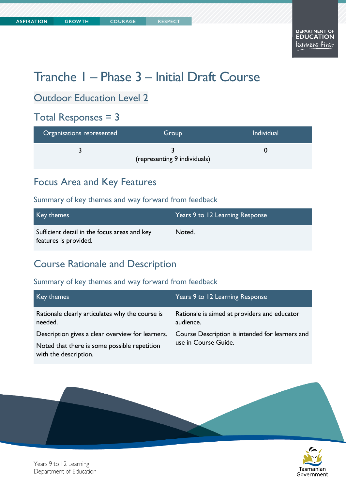# Tranche 1 – Phase 3 – Initial Draft Course

# Outdoor Education Level 2

### Total Responses = 3

| Organisations represented | Group                        | <b>Individual</b> |
|---------------------------|------------------------------|-------------------|
|                           | (representing 9 individuals) |                   |

### Focus Area and Key Features

#### Summary of key themes and way forward from feedback

| Key themes                                                            | Years 9 to 12 Learning Response |
|-----------------------------------------------------------------------|---------------------------------|
| Sufficient detail in the focus areas and key<br>features is provided. | Noted.                          |

### Course Rationale and Description

| Key themes                                                            | Years 9 to 12 Learning Response                                         |
|-----------------------------------------------------------------------|-------------------------------------------------------------------------|
| Rationale clearly articulates why the course is<br>needed.            | Rationale is aimed at providers and educator<br>audience.               |
| Description gives a clear overview for learners.                      | Course Description is intended for learners and<br>use in Course Guide. |
| Noted that there is some possible repetition<br>with the description. |                                                                         |



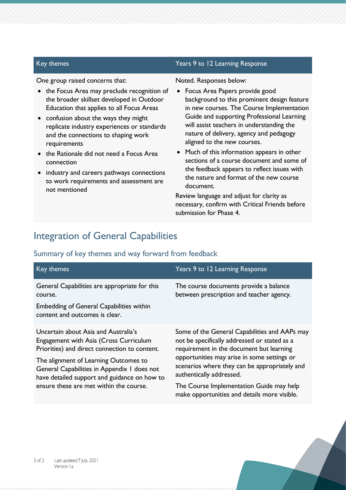#### One group raised concerns that:

- the Focus Area may preclude recognition of the broader skillset developed in Outdoor Education that applies to all Focus Areas
- confusion about the ways they might replicate industry experiences or standards and the connections to shaping work requirements
- the Rationale did not need a Focus Area connection
- industry and careers pathways connections to work requirements and assessment are not mentioned

#### Key themes Years 9 to 12 Learning Response

#### Noted. Responses below:

- Focus Area Papers provide good background to this prominent design feature in new courses. The Course Implementation Guide and supporting Professional Learning will assist teachers in understanding the nature of delivery, agency and pedagogy aligned to the new courses.
- Much of this information appears in other sections of a course document and some of the feedback appears to reflect issues with the nature and format of the new course document.

Review language and adjust for clarity as necessary, confirm with Critical Friends before submission for Phase 4.

### Integration of General Capabilities

| Key themes                                                                                                                                    | Years 9 to 12 Learning Response                                                                                                           |
|-----------------------------------------------------------------------------------------------------------------------------------------------|-------------------------------------------------------------------------------------------------------------------------------------------|
| General Capabilities are appropriate for this<br>course.<br><b>Embedding of General Capabilities within</b><br>content and outcomes is clear. | The course documents provide a balance<br>between prescription and teacher agency.                                                        |
| Uncertain about Asia and Australia's<br>Engagement with Asia (Cross Curriculum<br>Priorities) and direct connection to content.               | Some of the General Capabilities and AAPs may<br>not be specifically addressed or stated as a<br>requirement in the document but learning |
| The alignment of Learning Outcomes to<br>General Capabilities in Appendix 1 does not<br>have detailed support and guidance on how to          | opportunities may arise in some settings or<br>scenarios where they can be appropriately and<br>authentically addressed.                  |
| ensure these are met within the course.                                                                                                       | The Course Implementation Guide may help<br>make opportunities and details more visible.                                                  |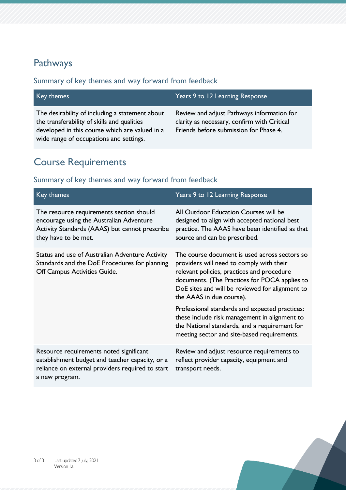# Pathways

#### Summary of key themes and way forward from feedback

| Key themes                                                                                                                                                                                  | Years 9 to 12 Learning Response                                                                                                     |
|---------------------------------------------------------------------------------------------------------------------------------------------------------------------------------------------|-------------------------------------------------------------------------------------------------------------------------------------|
| The desirability of including a statement about<br>the transferability of skills and qualities<br>developed in this course which are valued in a<br>wide range of occupations and settings. | Review and adjust Pathways information for<br>clarity as necessary, confirm with Critical<br>Friends before submission for Phase 4. |

# Course Requirements

| Key themes                                                                                                                                                       | Years 9 to 12 Learning Response                                                                                                                                                                                                                                         |
|------------------------------------------------------------------------------------------------------------------------------------------------------------------|-------------------------------------------------------------------------------------------------------------------------------------------------------------------------------------------------------------------------------------------------------------------------|
| The resource requirements section should<br>encourage using the Australian Adventure<br>Activity Standards (AAAS) but cannot prescribe<br>they have to be met.   | All Outdoor Education Courses will be<br>designed to align with accepted national best<br>practice. The AAAS have been identified as that<br>source and can be prescribed.                                                                                              |
| Status and use of Australian Adventure Activity<br>Standards and the DoE Procedures for planning<br>Off Campus Activities Guide.                                 | The course document is used across sectors so<br>providers will need to comply with their<br>relevant policies, practices and procedure<br>documents. (The Practices for POCA applies to<br>DoE sites and will be reviewed for alignment to<br>the AAAS in due course). |
|                                                                                                                                                                  | Professional standards and expected practices:<br>these include risk management in alignment to<br>the National standards, and a requirement for<br>meeting sector and site-based requirements.                                                                         |
| Resource requirements noted significant<br>establishment budget and teacher capacity, or a<br>reliance on external providers required to start<br>a new program. | Review and adjust resource requirements to<br>reflect provider capacity, equipment and<br>transport needs.                                                                                                                                                              |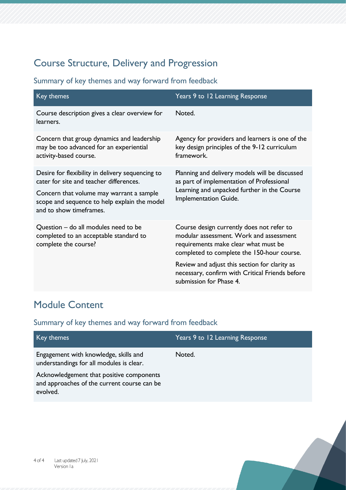# Course Structure, Delivery and Progression

Summary of key themes and way forward from feedback

| Key themes                                                                                                                                                                                                         | Years 9 to 12 Learning Response                                                                                                                                            |
|--------------------------------------------------------------------------------------------------------------------------------------------------------------------------------------------------------------------|----------------------------------------------------------------------------------------------------------------------------------------------------------------------------|
| Course description gives a clear overview for<br>learners.                                                                                                                                                         | Noted.                                                                                                                                                                     |
| Concern that group dynamics and leadership<br>may be too advanced for an experiential<br>activity-based course.                                                                                                    | Agency for providers and learners is one of the<br>key design principles of the 9-12 curriculum<br>framework.                                                              |
| Desire for flexibility in delivery sequencing to<br>cater for site and teacher differences.<br>Concern that volume may warrant a sample<br>scope and sequence to help explain the model<br>and to show timeframes. | Planning and delivery models will be discussed<br>as part of implementation of Professional<br>Learning and unpacked further in the Course<br>Implementation Guide.        |
| Question – do all modules need to be<br>completed to an acceptable standard to<br>complete the course?                                                                                                             | Course design currently does not refer to<br>modular assessment. Work and assessment<br>requirements make clear what must be<br>completed to complete the 150-hour course. |
|                                                                                                                                                                                                                    | Review and adjust this section for clarity as<br>necessary, confirm with Critical Friends before<br>submission for Phase 4.                                                |

# Module Content

| Key themes                                                                                          | Years 9 to 12 Learning Response |
|-----------------------------------------------------------------------------------------------------|---------------------------------|
| Engagement with knowledge, skills and<br>understandings for all modules is clear.                   | Noted.                          |
| Acknowledgement that positive components<br>and approaches of the current course can be<br>evolved. |                                 |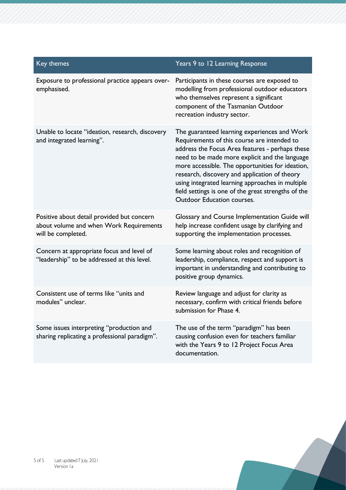| Key themes                                                                                                  | Years 9 to 12 Learning Response                                                                                                                                                                                                                                                                                                                                                                                                                |
|-------------------------------------------------------------------------------------------------------------|------------------------------------------------------------------------------------------------------------------------------------------------------------------------------------------------------------------------------------------------------------------------------------------------------------------------------------------------------------------------------------------------------------------------------------------------|
| Exposure to professional practice appears over-<br>emphasised.                                              | Participants in these courses are exposed to<br>modelling from professional outdoor educators<br>who themselves represent a significant<br>component of the Tasmanian Outdoor<br>recreation industry sector.                                                                                                                                                                                                                                   |
| Unable to locate "ideation, research, discovery<br>and integrated learning".                                | The guaranteed learning experiences and Work<br>Requirements of this course are intended to<br>address the Focus Area features - perhaps these<br>need to be made more explicit and the language<br>more accessible. The opportunities for ideation,<br>research, discovery and application of theory<br>using integrated learning approaches in multiple<br>field settings is one of the great strengths of the<br>Outdoor Education courses. |
| Positive about detail provided but concern<br>about volume and when Work Requirements<br>will be completed. | Glossary and Course Implementation Guide will<br>help increase confident usage by clarifying and<br>supporting the implementation processes.                                                                                                                                                                                                                                                                                                   |
| Concern at appropriate focus and level of<br>"leadership" to be addressed at this level.                    | Some learning about roles and recognition of<br>leadership, compliance, respect and support is<br>important in understanding and contributing to<br>positive group dynamics.                                                                                                                                                                                                                                                                   |
| Consistent use of terms like "units and<br>modules" unclear.                                                | Review language and adjust for clarity as<br>necessary, confirm with critical friends before<br>submission for Phase 4.                                                                                                                                                                                                                                                                                                                        |
| Some issues interpreting "production and<br>sharing replicating a professional paradigm".                   | The use of the term "paradigm" has been<br>causing confusion even for teachers familiar<br>with the Years 9 to 12 Project Focus Area<br>documentation.                                                                                                                                                                                                                                                                                         |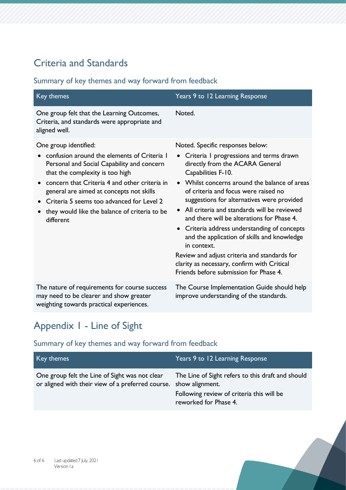# Criteria and Standards

#### Summary of key themes and way forward from feedback

| Key themes                                                                                                                                                                                                                                                                                                                                                    | Years 9 to 12 Learning Response                                                                                                                                                                                                                                                                                                                                                                                                                                                                                                                                                                                                              |
|---------------------------------------------------------------------------------------------------------------------------------------------------------------------------------------------------------------------------------------------------------------------------------------------------------------------------------------------------------------|----------------------------------------------------------------------------------------------------------------------------------------------------------------------------------------------------------------------------------------------------------------------------------------------------------------------------------------------------------------------------------------------------------------------------------------------------------------------------------------------------------------------------------------------------------------------------------------------------------------------------------------------|
| One group felt that the Learning Outcomes,<br>Criteria, and standards were appropriate and<br>aligned well.                                                                                                                                                                                                                                                   | Noted.                                                                                                                                                                                                                                                                                                                                                                                                                                                                                                                                                                                                                                       |
| One group identified:<br>confusion around the elements of Criteria I<br>Personal and Social Capability and concern<br>that the complexity is too high<br>concern that Criteria 4 and other criteria in<br>general are aimed at concepts not skills<br>Criteria 5 seems too advanced for Level 2<br>they would like the balance of criteria to be<br>different | Noted. Specific responses below:<br>Criteria I progressions and terms drawn<br>$\bullet$<br>directly from the ACARA General<br>Capabilities F-10.<br>• Whilst concerns around the balance of areas<br>of criteria and focus were raised no<br>suggestions for alternatives were provided<br>All criteria and standards will be reviewed<br>and there will be alterations for Phase 4.<br>• Criteria address understanding of concepts<br>and the application of skills and knowledge<br>in context.<br>Review and adjust criteria and standards for<br>clarity as necessary, confirm with Critical<br>Friends before submission for Phase 4. |
| The nature of requirements for course success<br>may need to be clearer and show greater<br>weighting towards practical experiences.                                                                                                                                                                                                                          | The Course Implementation Guide should help<br>improve understanding of the standards.                                                                                                                                                                                                                                                                                                                                                                                                                                                                                                                                                       |

# Appendix 1 - Line of Sight

| Key themes                                                                                                          | Years 9 to 12 Learning Response                                                                                         |
|---------------------------------------------------------------------------------------------------------------------|-------------------------------------------------------------------------------------------------------------------------|
| One group felt the Line of Sight was not clear<br>or aligned with their view of a preferred course. show alignment. | The Line of Sight refers to this draft and should<br>Following review of criteria this will be<br>reworked for Phase 4. |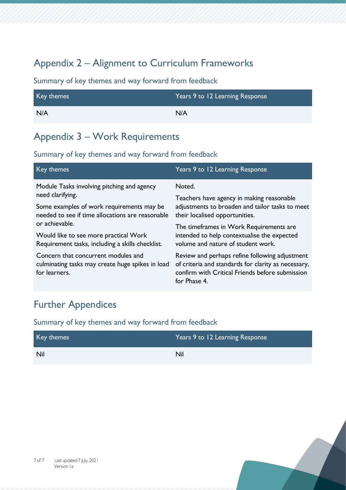# Appendix 2 – Alignment to Curriculum Frameworks

#### Summary of key themes and way forward from feedback

| Key themes | Years 9 to 12 Learning Response |
|------------|---------------------------------|
| N/A        | N/A                             |

### Appendix 3 – Work Requirements

#### Summary of key themes and way forward from feedback

| Key themes                                                                                                  | Years 9 to 12 Learning Response                                                                                                                                                                                                                                          |
|-------------------------------------------------------------------------------------------------------------|--------------------------------------------------------------------------------------------------------------------------------------------------------------------------------------------------------------------------------------------------------------------------|
| Module Tasks involving pitching and agency<br>need clarifying.                                              | Noted.<br>Teachers have agency in making reasonable<br>adjustments to broaden and tailor tasks to meet<br>their localised opportunities.<br>The timeframes in Work Requirements are<br>intended to help contextualise the expected<br>volume and nature of student work. |
| Some examples of work requirements may be<br>needed to see if time allocations are reasonable               |                                                                                                                                                                                                                                                                          |
| or achievable.<br>Would like to see more practical Work<br>Requirement tasks, including a skills checklist. |                                                                                                                                                                                                                                                                          |
| Concern that concurrent modules and<br>culminating tasks may create huge spikes in load<br>for learners.    | Review and perhaps refine following adjustment<br>of criteria and standards for clarity as necessary,<br>confirm with Critical Friends before submission<br>for Phase 4.                                                                                                 |

### Further Appendices

| Key themes | Years 9 to 12 Learning Response |
|------------|---------------------------------|
| Nil        | Nil                             |